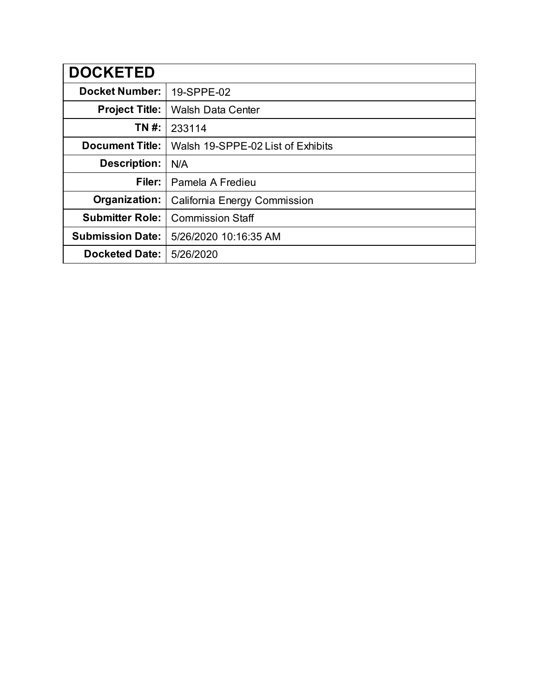| <b>DOCKETED</b>         |                                     |
|-------------------------|-------------------------------------|
| <b>Docket Number:</b>   | 19-SPPE-02                          |
| <b>Project Title:</b>   | <b>Walsh Data Center</b>            |
| TN #:                   | 233114                              |
| <b>Document Title:</b>  | Walsh 19-SPPE-02 List of Exhibits   |
| <b>Description:</b>     | N/A                                 |
| Filer:                  | Pamela A Fredieu                    |
| Organization:           | <b>California Energy Commission</b> |
| <b>Submitter Role:</b>  | <b>Commission Staff</b>             |
| <b>Submission Date:</b> | 5/26/2020 10:16:35 AM               |
| <b>Docketed Date:</b>   | 5/26/2020                           |